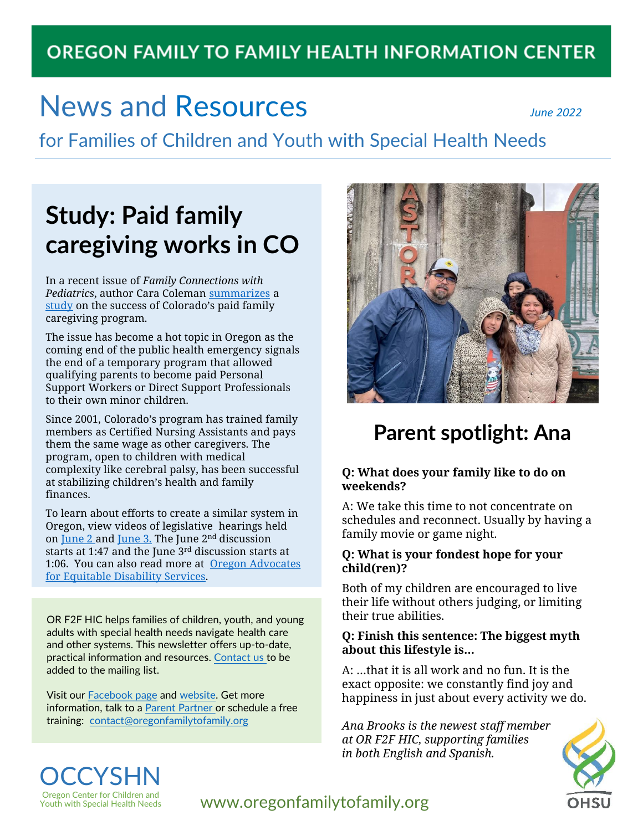## **OREGON FAMILY TO FAMILY HEALTH INFORMATION CENTER**

# News and Resources *June 2022*

for Families of Children and Youth with Special Health Needs

# **Study: Paid family caregiving works in CO**

In a recent issue of *Family Connections with Pediatrics*, author Cara Coleman [summarizes](https://publications.aap.org/journal-blogs/blog/20302/Employing-Family-as-Caregivers?fbclid=IwAR3QwpDR-GOfiqtMtkWwqt29tvLs0Kz7OU8AvWTiIFhzrpPOoanZMA6ceIs#.YoPkQiEoGb4.facebook) a [study](https://publications.aap.org/pediatrics/article/doi/10.1542/peds.2021-054273/186997/Employing-Family-Caregivers-An-Innovative-Health) on the success of Colorado's paid family caregiving program.

The issue has become a hot topic in Oregon as the coming end of the public health emergency signals the end of a temporary program that allowed qualifying parents to become paid Personal Support Workers or Direct Support Professionals to their own minor children.

Since 2001, Colorado's program has trained family members as Certified Nursing Assistants and pays them the same wage as other caregivers. The program, open to children with medical complexity like cerebral palsy, has been successful at stabilizing children's health and family finances.

To learn about efforts to create a similar system in Oregon, view videos of legislative hearings held on [June 2](https://olis.oregonlegislature.gov/liz/mediaplayer/?clientID=4879615486&eventID=2022061027) and [June 3.](https://olis.oregonlegislature.gov/liz/mediaplayer/?clientID=4879615486&eventID=2022061015) The June 2<sup>nd</sup> discussion starts at 1:47 and the June 3rd discussion starts at [1:06. You can also read more at Oregon Advocates](https://www.facebook.com/OA4EDS) for Equitable Disability Services.

OR F2F HIC helps families of children, youth, and young adults with special health needs navigate health care and other systems. This newsletter offers up-to-date, practical information and resources. [Contact us](mailto:contact@oregonfamilytofamily.org?subject=Add%20to%20newsletter%20list) to be added to the mailing list.

Visit our [Facebook](https://www.facebook.com/OregonF2FHIC) page and [website.](https://www.oregonfamilytofamily.org/) Get more information, talk to a [Parent Partner](https://www.ohsu.edu/sites/default/files/2020-07/2020%20F2F%20English%20PP%20Referall%20Form%20rev%207-2020.pdf) or schedule a free training: [contact@oregonfamilytofamily.org](mailto:contact@oregonfamilytofamily.org)



## **Parent spotlight: Ana**

#### **Q: What does your family like to do on weekends?**

A: We take this time to not concentrate on schedules and reconnect. Usually by having a family movie or game night.

#### **Q: What is your fondest hope for your child(ren)?**

Both of my children are encouraged to live their life without others judging, or limiting their true abilities.

#### **Q: Finish this sentence: The biggest myth about this lifestyle is…**

A: …that it is all work and no fun. It is the exact opposite: we constantly find joy and happiness in just about every activity we do.

*Ana Brooks is the newest staff member at OR F2F HIC, supporting families in both English and Spanish.* 



#### **OCCYSHN** Oregon Center for Children and Youth with Special Health Needs

#### www.oregonfamilytofamily.org